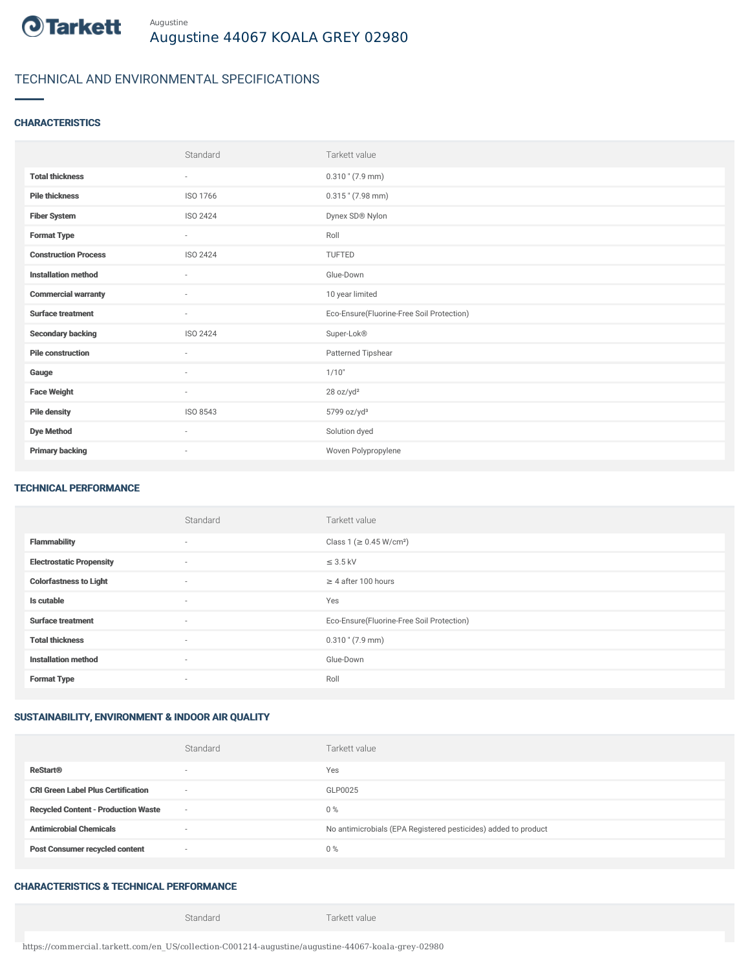

# TECHNICAL AND ENVIRONMENTAL SPECIFICATIONS

## **CHARACTERISTICS**

|                             | Standard                 | Tarkett value                             |
|-----------------------------|--------------------------|-------------------------------------------|
| <b>Total thickness</b>      | $\sim$                   | $0.310$ " (7.9 mm)                        |
| <b>Pile thickness</b>       | ISO 1766                 | $0.315$ " (7.98 mm)                       |
| <b>Fiber System</b>         | ISO 2424                 | Dynex SD® Nylon                           |
| <b>Format Type</b>          | $\sim$                   | Roll                                      |
| <b>Construction Process</b> | ISO 2424                 | <b>TUFTED</b>                             |
| <b>Installation method</b>  | $\overline{\phantom{a}}$ | Glue-Down                                 |
| <b>Commercial warranty</b>  | $\sim$                   | 10 year limited                           |
| <b>Surface treatment</b>    | $\sim$                   | Eco-Ensure(Fluorine-Free Soil Protection) |
| <b>Secondary backing</b>    | ISO 2424                 | Super-Lok®                                |
| <b>Pile construction</b>    | ٠                        | Patterned Tipshear                        |
| Gauge                       | $\sim$                   | 1/10"                                     |
| <b>Face Weight</b>          | $\overline{\phantom{a}}$ | 28 oz/yd <sup>2</sup>                     |
| <b>Pile density</b>         | ISO 8543                 | 5799 oz/yd <sup>3</sup>                   |
| <b>Dye Method</b>           | ٠                        | Solution dyed                             |
| <b>Primary backing</b>      | $\sim$                   | Woven Polypropylene                       |

#### TECHNICAL PERFORMANCE

|                                 | Standard | Tarkett value                             |
|---------------------------------|----------|-------------------------------------------|
| <b>Flammability</b>             | $\sim$   | Class 1 (≥ 0.45 W/cm <sup>2</sup> )       |
| <b>Electrostatic Propensity</b> | $\sim$   | $\leq$ 3.5 kV                             |
| <b>Colorfastness to Light</b>   | $\sim$   | $\geq$ 4 after 100 hours                  |
| Is cutable                      | $\sim$   | Yes                                       |
| <b>Surface treatment</b>        | $\sim$   | Eco-Ensure(Fluorine-Free Soil Protection) |
| <b>Total thickness</b>          | $\sim$   | $0.310$ " (7.9 mm)                        |
| <b>Installation method</b>      | $\sim$   | Glue-Down                                 |
| <b>Format Type</b>              | $\sim$   | Roll                                      |

## SUSTAINABILITY, ENVIRONMENT & INDOOR AIR QUALITY

| <b>ReStart®</b>                                                       | Yes                                                            |
|-----------------------------------------------------------------------|----------------------------------------------------------------|
| <b>CRI Green Label Plus Certification</b><br>$\overline{\phantom{a}}$ | GLP0025                                                        |
| <b>Recycled Content - Production Waste</b><br>$\sim$                  | $0\%$                                                          |
| <b>Antimicrobial Chemicals</b><br>۰                                   | No antimicrobials (EPA Registered pesticides) added to product |
| <b>Post Consumer recycled content</b><br>$\sim$                       | $0\%$                                                          |

# CHARACTERISTICS & TECHNICAL PERFORMANCE

Standard Tarkett value